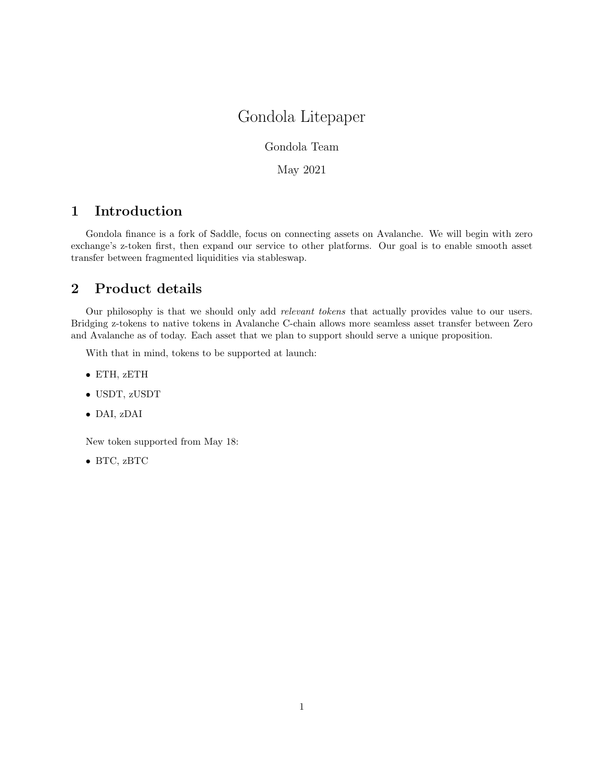# Gondola Litepaper

Gondola Team

May 2021

### 1 Introduction

Gondola finance is a fork of Saddle, focus on connecting assets on Avalanche. We will begin with zero exchange's z-token first, then expand our service to other platforms. Our goal is to enable smooth asset transfer between fragmented liquidities via stableswap.

## 2 Product details

Our philosophy is that we should only add *relevant tokens* that actually provides value to our users. Bridging z-tokens to native tokens in Avalanche C-chain allows more seamless asset transfer between Zero and Avalanche as of today. Each asset that we plan to support should serve a unique proposition.

With that in mind, tokens to be supported at launch:

- ETH, zETH
- USDT, zUSDT
- DAI, zDAI

New token supported from May 18:

• BTC, zBTC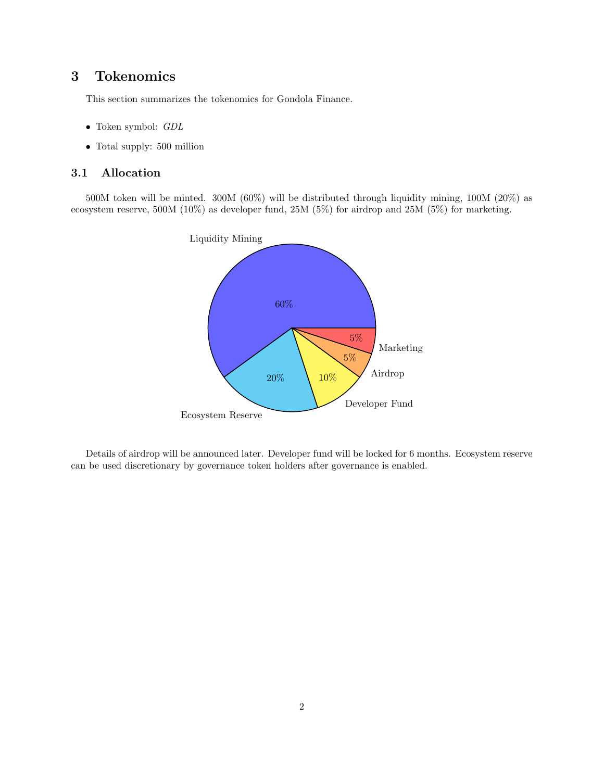## 3 Tokenomics

This section summarizes the tokenomics for Gondola Finance.

- Token symbol: GDL
- Total supply: 500 million

#### 3.1 Allocation

500M token will be minted. 300M (60%) will be distributed through liquidity mining, 100M (20%) as ecosystem reserve, 500M (10%) as developer fund, 25M (5%) for airdrop and 25M (5%) for marketing.



Details of airdrop will be announced later. Developer fund will be locked for 6 months. Ecosystem reserve can be used discretionary by governance token holders after governance is enabled.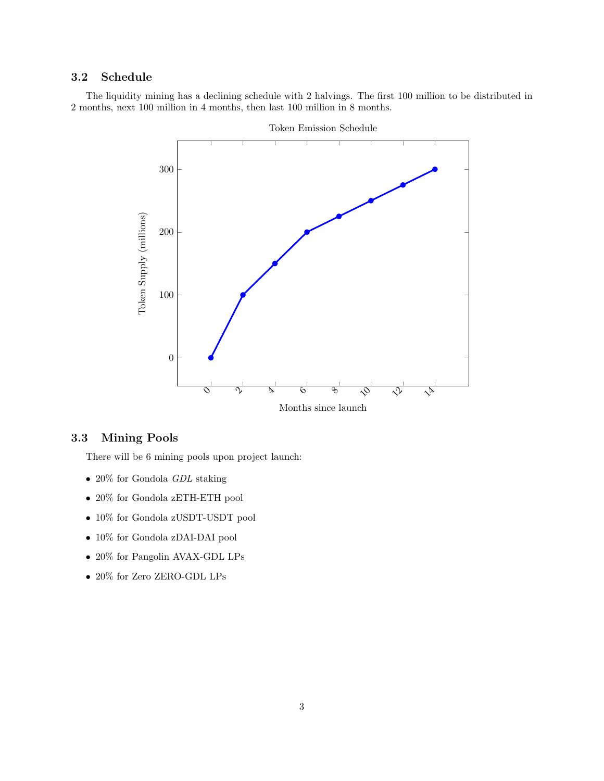### 3.2 Schedule

The liquidity mining has a declining schedule with 2 halvings. The first 100 million to be distributed in 2 months, next 100 million in 4 months, then last 100 million in 8 months.



Token Emission Schedule

Months since launch

#### 3.3 Mining Pools

There will be 6 mining pools upon project launch:

- 20% for Gondola *GDL* staking
- 20% for Gondola zETH-ETH pool
- 10% for Gondola zUSDT-USDT pool
- 10% for Gondola zDAI-DAI pool
- 20% for Pangolin AVAX-GDL LPs
- $\bullet\,$  20% for Zero ZERO-GDL LPs